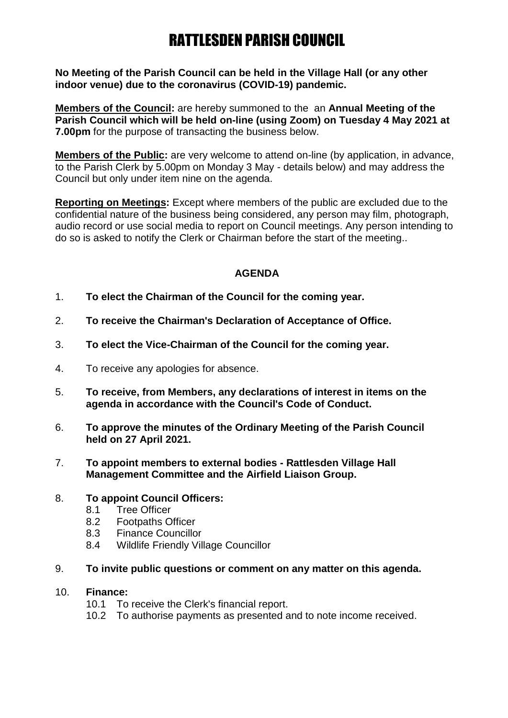# RATTLESDEN PARISH COUNCIL

**No Meeting of the Parish Council can be held in the Village Hall (or any other indoor venue) due to the coronavirus (COVID-19) pandemic.** 

**Members of the Council:** are hereby summoned to the an **Annual Meeting of the Parish Council which will be held on-line (using Zoom) on Tuesday 4 May 2021 at 7.00pm** for the purpose of transacting the business below.

**Members of the Public:** are very welcome to attend on-line (by application, in advance, to the Parish Clerk by 5.00pm on Monday 3 May - details below) and may address the Council but only under item nine on the agenda.

**Reporting on Meetings:** Except where members of the public are excluded due to the confidential nature of the business being considered, any person may film, photograph, audio record or use social media to report on Council meetings. Any person intending to do so is asked to notify the Clerk or Chairman before the start of the meeting..

## **AGENDA**

- 1. **To elect the Chairman of the Council for the coming year.**
- 2. **To receive the Chairman's Declaration of Acceptance of Office.**
- 3. **To elect the Vice-Chairman of the Council for the coming year.**
- 4. To receive any apologies for absence.
- 5. **To receive, from Members, any declarations of interest in items on the agenda in accordance with the Council's Code of Conduct.**
- 6. **To approve the minutes of the Ordinary Meeting of the Parish Council held on 27 April 2021.**
- 7. **To appoint members to external bodies - Rattlesden Village Hall Management Committee and the Airfield Liaison Group.**

#### 8. **To appoint Council Officers:**

- 8.1 Tree Officer
- 8.2 Footpaths Officer
- 8.3 Finance Councillor
- 8.4 Wildlife Friendly Village Councillor
- 9. **To invite public questions or comment on any matter on this agenda.**

#### 10. **Finance:**

- 10.1 To receive the Clerk's financial report.
- 10.2 To authorise payments as presented and to note income received.